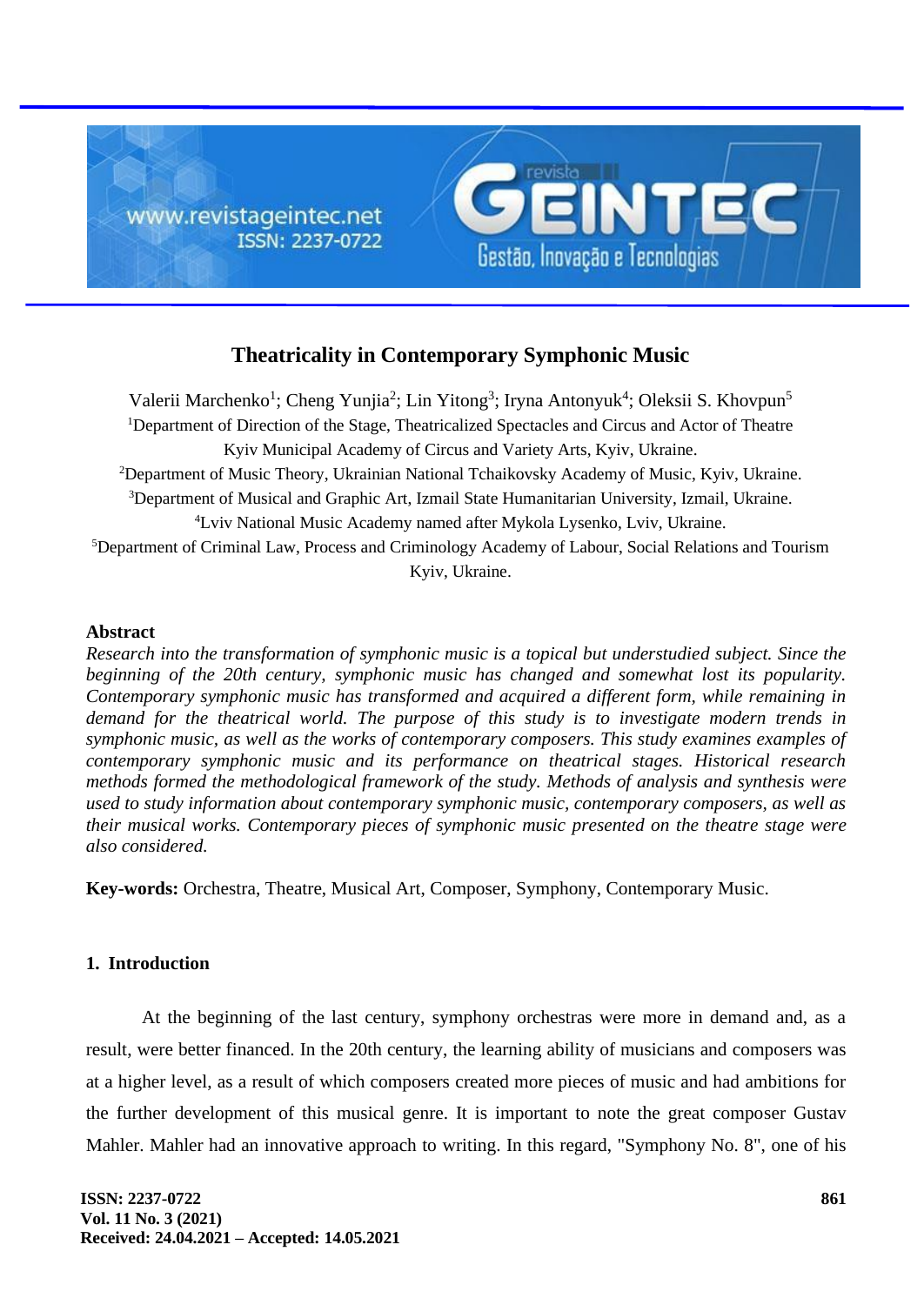

# **Theatricality in Contemporary Symphonic Music**

Valerii Marchenko<sup>1</sup>; Cheng Yunjia<sup>2</sup>; Lin Yitong<sup>3</sup>; Iryna Antonyuk<sup>4</sup>; Oleksii S. Khovpun<sup>5</sup> <sup>1</sup>Department of Direction of the Stage, Theatricalized Spectacles and Circus and Actor of Theatre Kyiv Municipal Academy of Circus and Variety Arts, Kyiv, Ukraine. <sup>2</sup>Department of Music Theory, Ukrainian National Tchaikovsky Academy of Music, Kyiv, Ukraine. <sup>3</sup>Department of Musical and Graphic Art, Izmail State Humanitarian University, Izmail, Ukraine. <sup>4</sup>Lviv National Music Academy named after Mykola Lysenko, Lviv, Ukraine. <sup>5</sup>Department of Criminal Law, Process and Criminology Academy of Labour, Social Relations and Tourism Kyiv, Ukraine.

## **Abstract**

*Research into the transformation of symphonic music is a topical but understudied subject. Since the beginning of the 20th century, symphonic music has changed and somewhat lost its popularity. Contemporary symphonic music has transformed and acquired a different form, while remaining in demand for the theatrical world. The purpose of this study is to investigate modern trends in symphonic music, as well as the works of contemporary composers. This study examines examples of contemporary symphonic music and its performance on theatrical stages. Historical research methods formed the methodological framework of the study. Methods of analysis and synthesis were used to study information about contemporary symphonic music, contemporary composers, as well as their musical works. Contemporary pieces of symphonic music presented on the theatre stage were also considered.*

**Key-words:** Orchestra, Theatre, Musical Art, Composer, Symphony, Contemporary Music.

## **1. Introduction**

At the beginning of the last century, symphony orchestras were more in demand and, as a result, were better financed. In the 20th century, the learning ability of musicians and composers was at a higher level, as a result of which composers created more pieces of music and had ambitions for the further development of this musical genre. It is important to note the great composer Gustav Mahler. Mahler had an innovative approach to writing. In this regard, "Symphony No. 8", one of his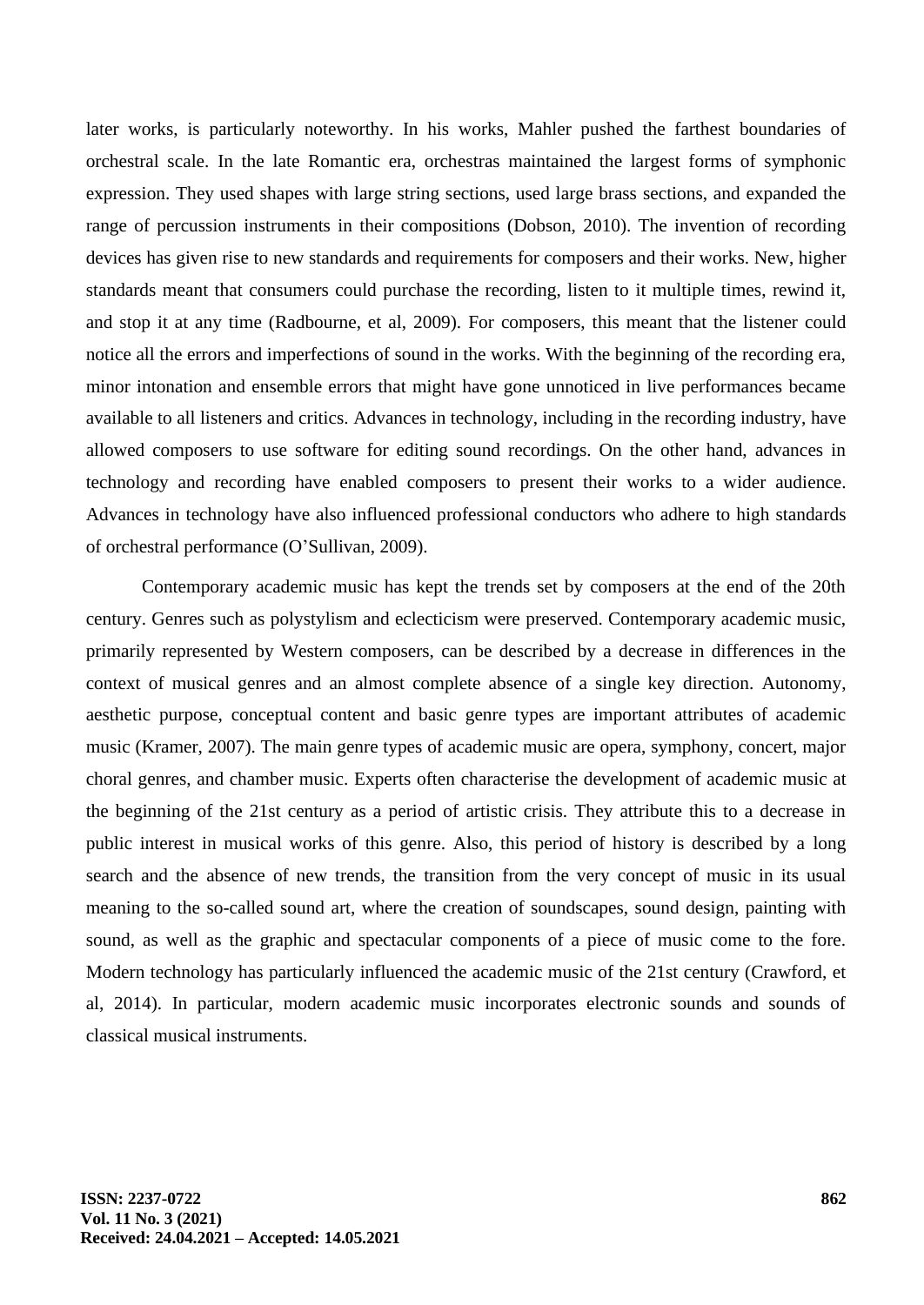later works, is particularly noteworthy. In his works, Mahler pushed the farthest boundaries of orchestral scale. In the late Romantic era, orchestras maintained the largest forms of symphonic expression. They used shapes with large string sections, used large brass sections, and expanded the range of percussion instruments in their compositions (Dobson, 2010). The invention of recording devices has given rise to new standards and requirements for composers and their works. New, higher standards meant that consumers could purchase the recording, listen to it multiple times, rewind it, and stop it at any time (Radbourne, et al, 2009). For composers, this meant that the listener could notice all the errors and imperfections of sound in the works. With the beginning of the recording era, minor intonation and ensemble errors that might have gone unnoticed in live performances became available to all listeners and critics. Advances in technology, including in the recording industry, have allowed composers to use software for editing sound recordings. On the other hand, advances in technology and recording have enabled composers to present their works to a wider audience. Advances in technology have also influenced professional conductors who adhere to high standards of orchestral performance (O'Sullivan, 2009).

Contemporary academic music has kept the trends set by composers at the end of the 20th century. Genres such as polystylism and eclecticism were preserved. Contemporary academic music, primarily represented by Western composers, can be described by a decrease in differences in the context of musical genres and an almost complete absence of a single key direction. Autonomy, aesthetic purpose, conceptual content and basic genre types are important attributes of academic music (Kramer, 2007). The main genre types of academic music are opera, symphony, concert, major choral genres, and chamber music. Experts often characterise the development of academic music at the beginning of the 21st century as a period of artistic crisis. They attribute this to a decrease in public interest in musical works of this genre. Also, this period of history is described by a long search and the absence of new trends, the transition from the very concept of music in its usual meaning to the so-called sound art, where the creation of soundscapes, sound design, painting with sound, as well as the graphic and spectacular components of a piece of music come to the fore. Modern technology has particularly influenced the academic music of the 21st century (Crawford, et al, 2014). In particular, modern academic music incorporates electronic sounds and sounds of classical musical instruments.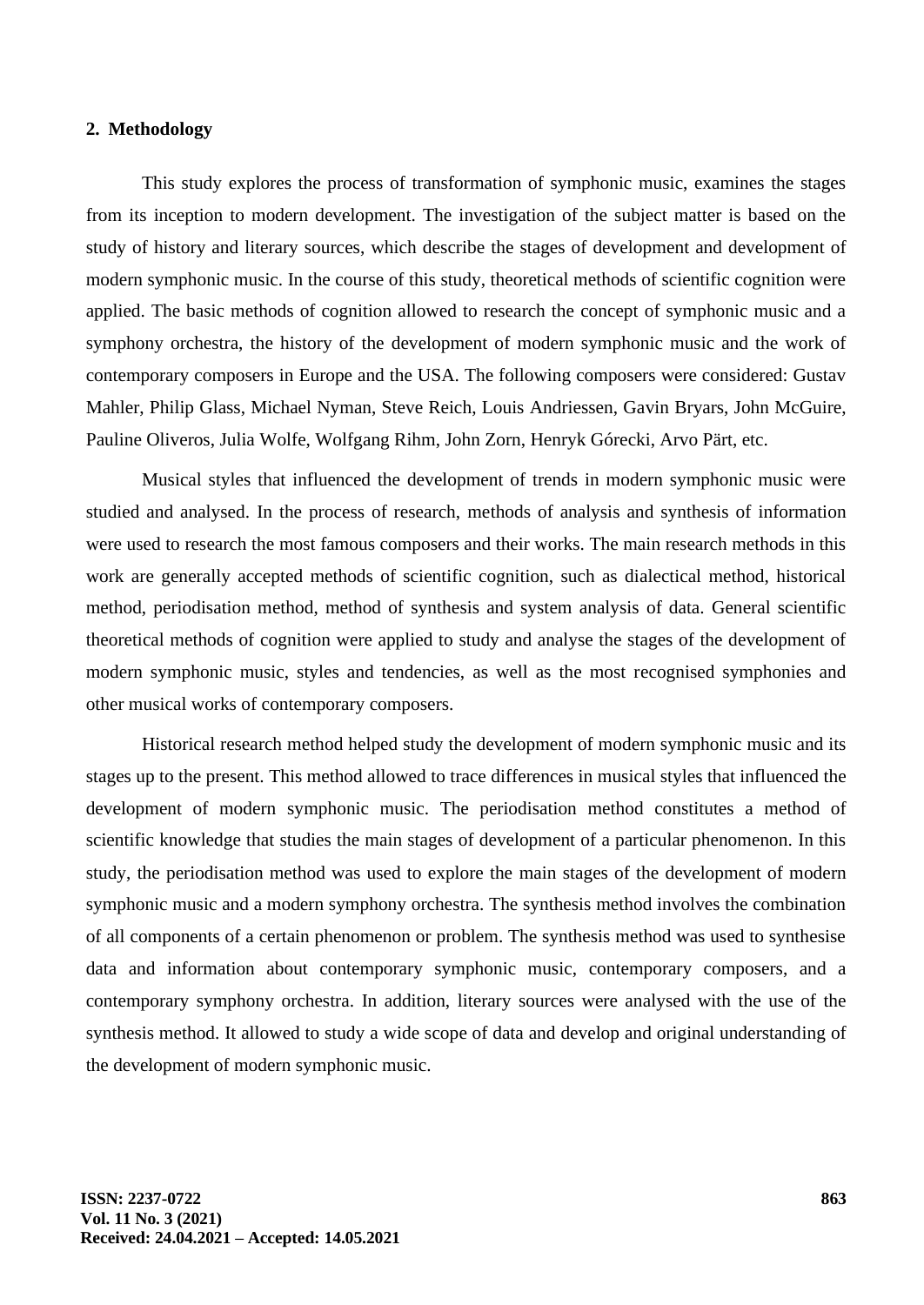## **2. Methodology**

This study explores the process of transformation of symphonic music, examines the stages from its inception to modern development. The investigation of the subject matter is based on the study of history and literary sources, which describe the stages of development and development of modern symphonic music. In the course of this study, theoretical methods of scientific cognition were applied. The basic methods of cognition allowed to research the concept of symphonic music and a symphony orchestra, the history of the development of modern symphonic music and the work of contemporary composers in Europe and the USA. The following composers were considered: Gustav Mahler, Philip Glass, Michael Nyman, Steve Reich, Louis Andriessen, Gavin Bryars, John McGuire, Pauline Oliveros, Julia Wolfe, Wolfgang Rihm, John Zorn, Henryk Górecki, Arvo Pärt, etc.

Musical styles that influenced the development of trends in modern symphonic music were studied and analysed. In the process of research, methods of analysis and synthesis of information were used to research the most famous composers and their works. The main research methods in this work are generally accepted methods of scientific cognition, such as dialectical method, historical method, periodisation method, method of synthesis and system analysis of data. General scientific theoretical methods of cognition were applied to study and analyse the stages of the development of modern symphonic music, styles and tendencies, as well as the most recognised symphonies and other musical works of contemporary composers.

Historical research method helped study the development of modern symphonic music and its stages up to the present. This method allowed to trace differences in musical styles that influenced the development of modern symphonic music. The periodisation method constitutes a method of scientific knowledge that studies the main stages of development of a particular phenomenon. In this study, the periodisation method was used to explore the main stages of the development of modern symphonic music and a modern symphony orchestra. The synthesis method involves the combination of all components of a certain phenomenon or problem. The synthesis method was used to synthesise data and information about contemporary symphonic music, contemporary composers, and a contemporary symphony orchestra. In addition, literary sources were analysed with the use of the synthesis method. It allowed to study a wide scope of data and develop and original understanding of the development of modern symphonic music.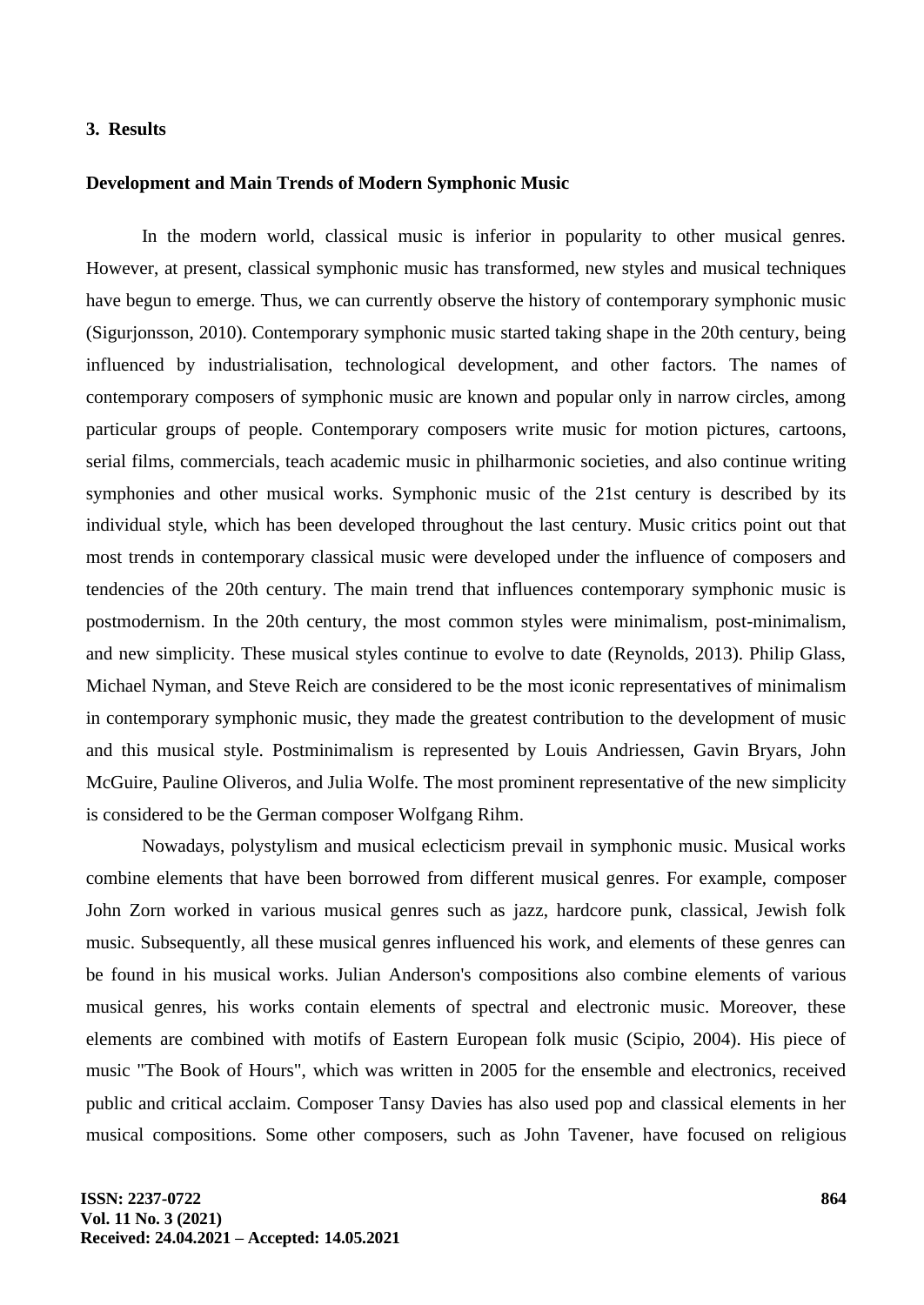## **3. Results**

#### **Development and Main Trends of Modern Symphonic Music**

In the modern world, classical music is inferior in popularity to other musical genres. However, at present, classical symphonic music has transformed, new styles and musical techniques have begun to emerge. Thus, we can currently observe the history of contemporary symphonic music (Sigurjonsson, 2010). Contemporary symphonic music started taking shape in the 20th century, being influenced by industrialisation, technological development, and other factors. The names of contemporary composers of symphonic music are known and popular only in narrow circles, among particular groups of people. Contemporary composers write music for motion pictures, cartoons, serial films, commercials, teach academic music in philharmonic societies, and also continue writing symphonies and other musical works. Symphonic music of the 21st century is described by its individual style, which has been developed throughout the last century. Music critics point out that most trends in contemporary classical music were developed under the influence of composers and tendencies of the 20th century. The main trend that influences contemporary symphonic music is postmodernism. In the 20th century, the most common styles were minimalism, post-minimalism, and new simplicity. These musical styles continue to evolve to date (Reynolds, 2013). Philip Glass, Michael Nyman, and Steve Reich are considered to be the most iconic representatives of minimalism in contemporary symphonic music, they made the greatest contribution to the development of music and this musical style. Postminimalism is represented by Louis Andriessen, Gavin Bryars, John McGuire, Pauline Oliveros, and Julia Wolfe. The most prominent representative of the new simplicity is considered to be the German composer Wolfgang Rihm.

Nowadays, polystylism and musical eclecticism prevail in symphonic music. Musical works combine elements that have been borrowed from different musical genres. For example, composer John Zorn worked in various musical genres such as jazz, hardcore punk, classical, Jewish folk music. Subsequently, all these musical genres influenced his work, and elements of these genres can be found in his musical works. Julian Anderson's compositions also combine elements of various musical genres, his works contain elements of spectral and electronic music. Moreover, these elements are combined with motifs of Eastern European folk music (Scipio, 2004). His piece of music "The Book of Hours", which was written in 2005 for the ensemble and electronics, received public and critical acclaim. Composer Tansy Davies has also used pop and classical elements in her musical compositions. Some other composers, such as John Tavener, have focused on religious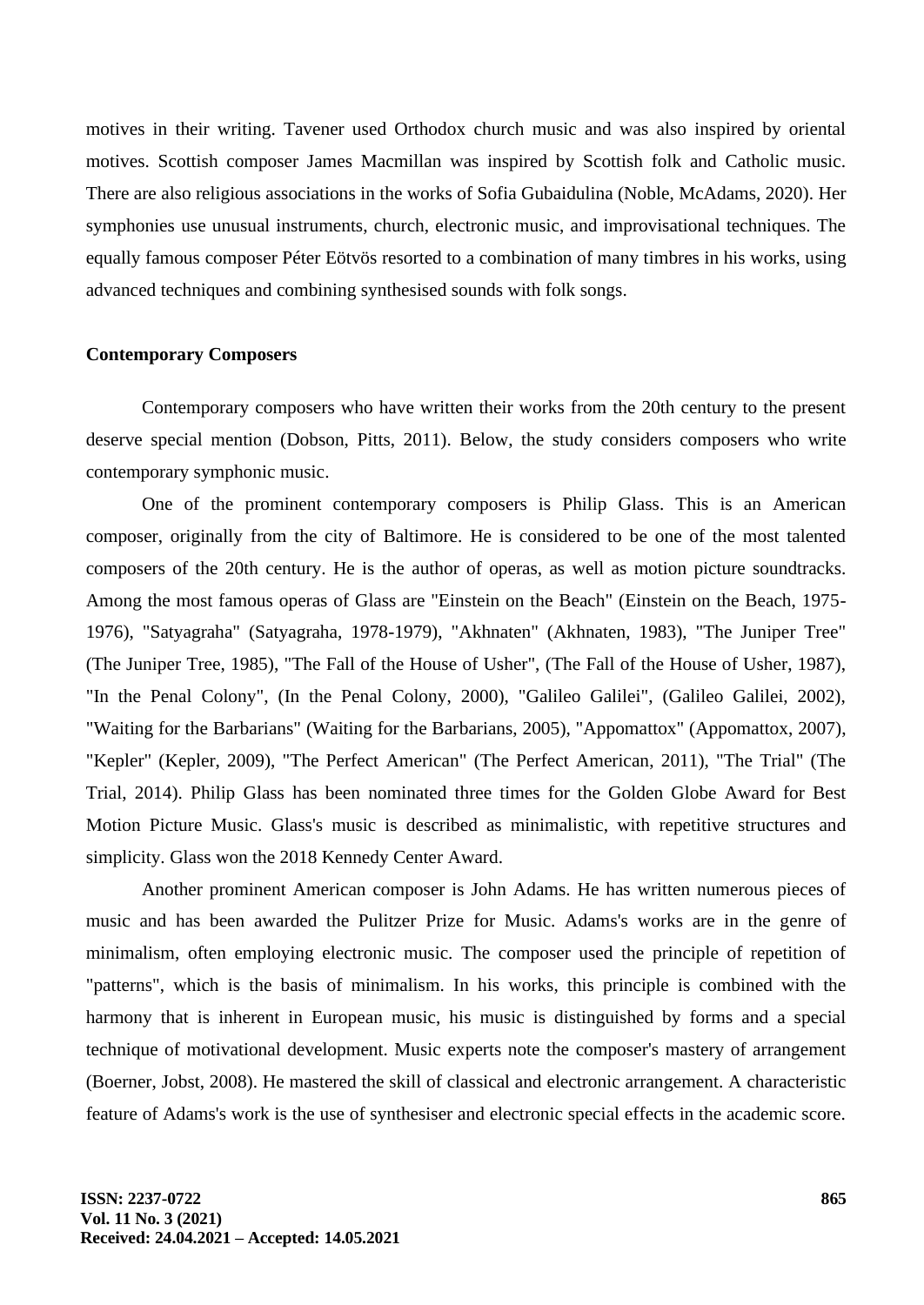motives in their writing. Tavener used Orthodox church music and was also inspired by oriental motives. Scottish composer James Macmillan was inspired by Scottish folk and Catholic music. There are also religious associations in the works of Sofia Gubaidulina (Noble, McAdams, 2020). Her symphonies use unusual instruments, church, electronic music, and improvisational techniques. The equally famous composer Péter Eötvös resorted to a combination of many timbres in his works, using advanced techniques and combining synthesised sounds with folk songs.

## **Contemporary Composers**

Contemporary composers who have written their works from the 20th century to the present deserve special mention (Dobson, Pitts, 2011). Below, the study considers composers who write contemporary symphonic music.

One of the prominent contemporary composers is Philip Glass. This is an American composer, originally from the city of Baltimore. He is considered to be one of the most talented composers of the 20th century. He is the author of operas, as well as motion picture soundtracks. Among the most famous operas of Glass are "Einstein on the Beach" (Einstein on the Beach, 1975- 1976), "Satyagraha" (Satyagraha, 1978-1979), "Akhnaten" (Akhnaten, 1983), "The Juniper Tree" (The Juniper Tree, 1985), "The Fall of the House of Usher", (The Fall of the House of Usher, 1987), "In the Penal Colony", (In the Penal Colony, 2000), "Galileo Galilei", (Galileo Galilei, 2002), "Waiting for the Barbarians" (Waiting for the Barbarians, 2005), "Appomattox" (Appomattox, 2007), "Kepler" (Kepler, 2009), "The Perfect American" (The Perfect American, 2011), "The Trial" (The Trial, 2014). Philip Glass has been nominated three times for the Golden Globe Award for Best Motion Picture Music. Glass's music is described as minimalistic, with repetitive structures and simplicity. Glass won the 2018 Kennedy Center Award.

Another prominent American composer is John Adams. He has written numerous pieces of music and has been awarded the Pulitzer Prize for Music. Adams's works are in the genre of minimalism, often employing electronic music. The composer used the principle of repetition of "patterns", which is the basis of minimalism. In his works, this principle is combined with the harmony that is inherent in European music, his music is distinguished by forms and a special technique of motivational development. Music experts note the composer's mastery of arrangement (Boerner, Jobst, 2008). He mastered the skill of classical and electronic arrangement. A characteristic feature of Adams's work is the use of synthesiser and electronic special effects in the academic score.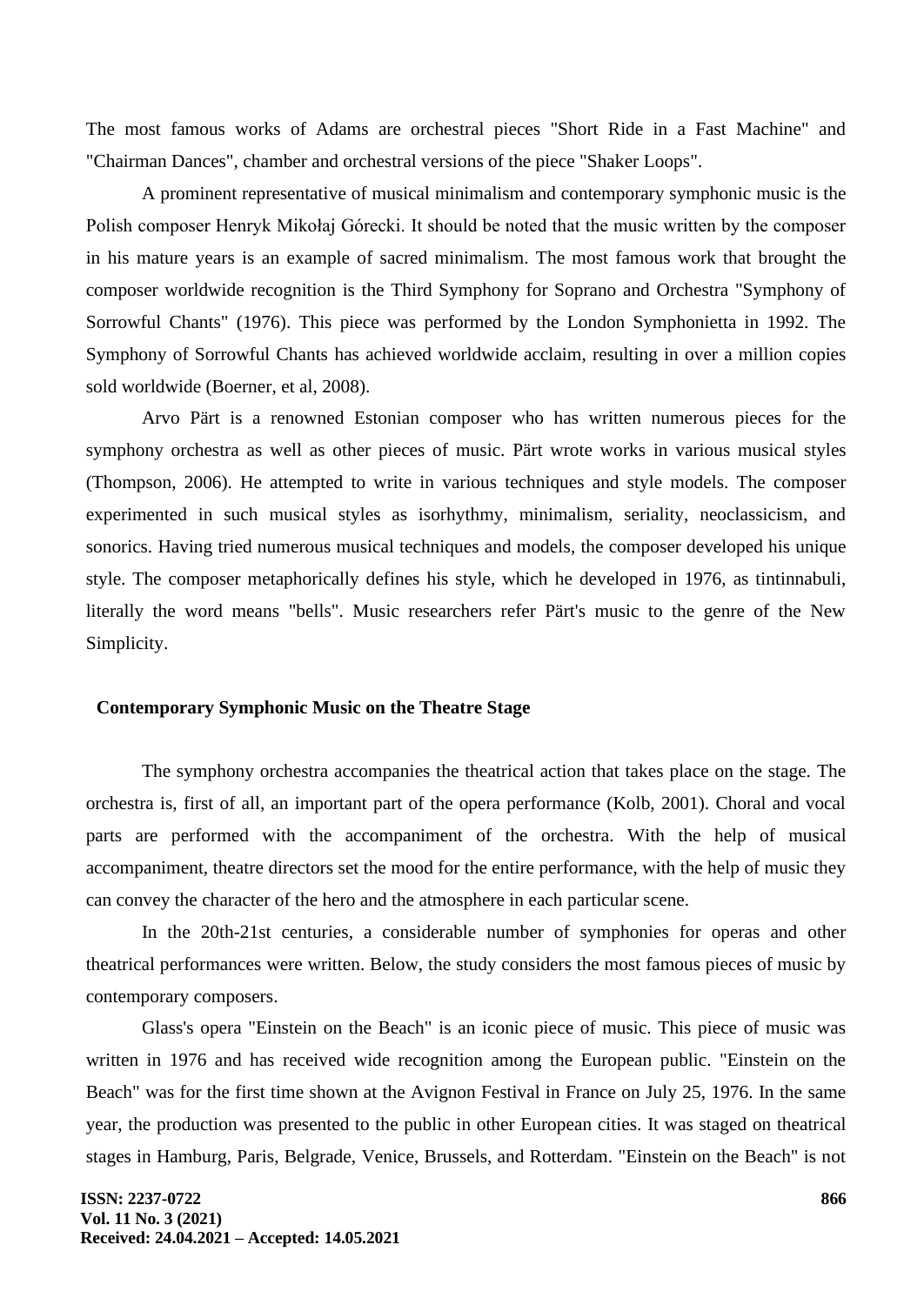The most famous works of Adams are orchestral pieces "Short Ride in a Fast Machine" and "Chairman Dances", chamber and orchestral versions of the piece "Shaker Loops".

A prominent representative of musical minimalism and contemporary symphonic music is the Polish composer Henryk Mikołaj Górecki. It should be noted that the music written by the composer in his mature years is an example of sacred minimalism. The most famous work that brought the composer worldwide recognition is the Third Symphony for Soprano and Orchestra "Symphony of Sorrowful Chants" (1976). This piece was performed by the London Symphonietta in 1992. The Symphony of Sorrowful Chants has achieved worldwide acclaim, resulting in over a million copies sold worldwide (Boerner, et al, 2008).

Arvo Pärt is a renowned Estonian composer who has written numerous pieces for the symphony orchestra as well as other pieces of music. Pärt wrote works in various musical styles (Thompson, 2006). He attempted to write in various techniques and style models. The composer experimented in such musical styles as isorhythmy, minimalism, seriality, neoclassicism, and sonorics. Having tried numerous musical techniques and models, the composer developed his unique style. The composer metaphorically defines his style, which he developed in 1976, as tintinnabuli, literally the word means "bells". Music researchers refer Pärt's music to the genre of the New Simplicity.

## **Contemporary Symphonic Music on the Theatre Stage**

The symphony orchestra accompanies the theatrical action that takes place on the stage. The orchestra is, first of all, an important part of the opera performance (Kolb, 2001). Choral and vocal parts are performed with the accompaniment of the orchestra. With the help of musical accompaniment, theatre directors set the mood for the entire performance, with the help of music they can convey the character of the hero and the atmosphere in each particular scene.

In the 20th-21st centuries, a considerable number of symphonies for operas and other theatrical performances were written. Below, the study considers the most famous pieces of music by contemporary composers.

Glass's opera "Einstein on the Beach" is an iconic piece of music. This piece of music was written in 1976 and has received wide recognition among the European public. "Einstein on the Beach" was for the first time shown at the Avignon Festival in France on July 25, 1976. In the same year, the production was presented to the public in other European cities. It was staged on theatrical stages in Hamburg, Paris, Belgrade, Venice, Brussels, and Rotterdam. "Einstein on the Beach" is not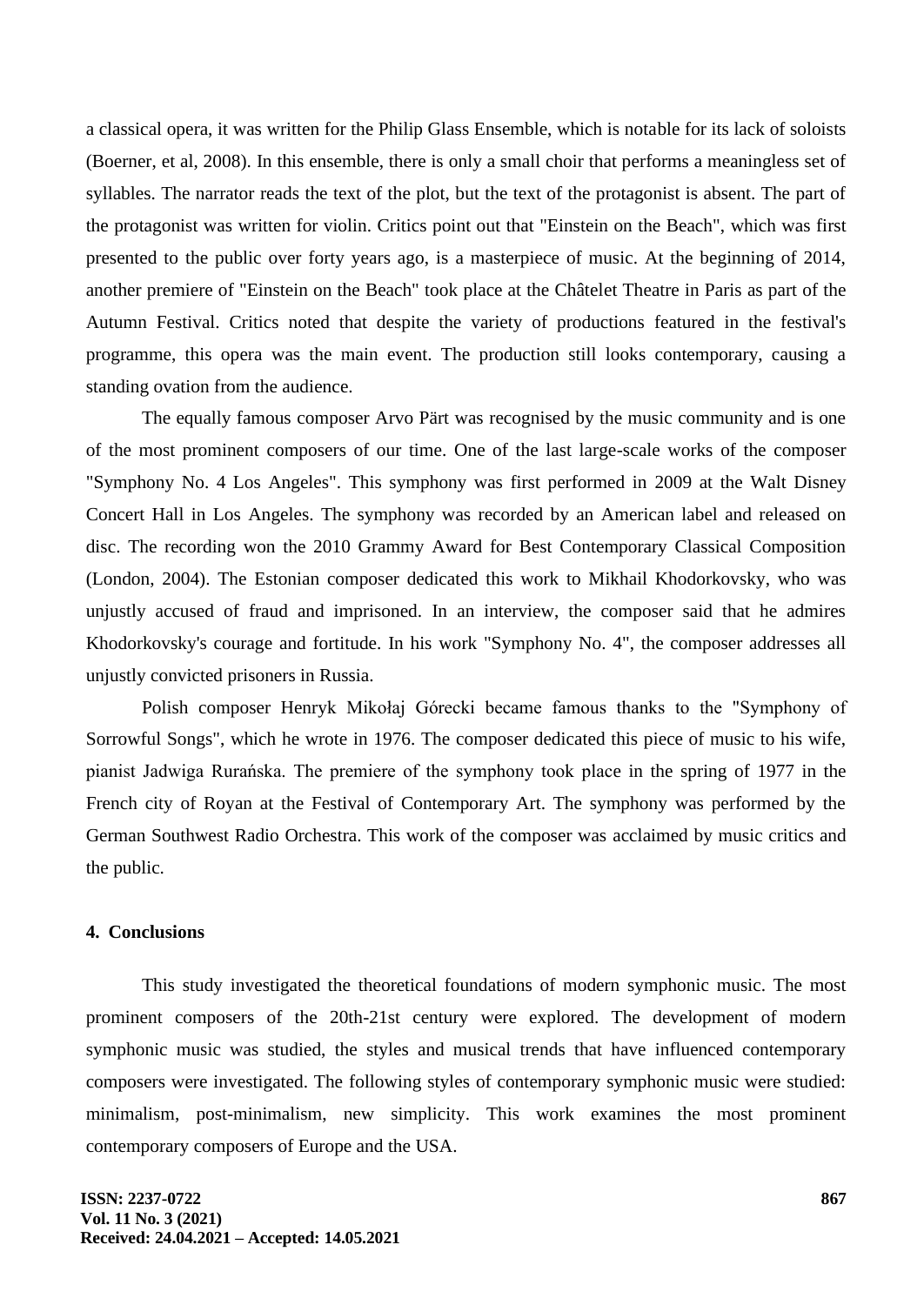a classical opera, it was written for the Philip Glass Ensemble, which is notable for its lack of soloists (Boerner, et al, 2008). In this ensemble, there is only a small choir that performs a meaningless set of syllables. The narrator reads the text of the plot, but the text of the protagonist is absent. The part of the protagonist was written for violin. Critics point out that "Einstein on the Beach", which was first presented to the public over forty years ago, is a masterpiece of music. At the beginning of 2014, another premiere of "Einstein on the Beach" took place at the Châtelet Theatre in Paris as part of the Autumn Festival. Critics noted that despite the variety of productions featured in the festival's programme, this opera was the main event. The production still looks contemporary, causing a standing ovation from the audience.

The equally famous composer Arvo Pärt was recognised by the music community and is one of the most prominent composers of our time. One of the last large-scale works of the composer "Symphony No. 4 Los Angeles". This symphony was first performed in 2009 at the Walt Disney Concert Hall in Los Angeles. The symphony was recorded by an American label and released on disc. The recording won the 2010 Grammy Award for Best Contemporary Classical Composition (London, 2004). The Estonian composer dedicated this work to Mikhail Khodorkovsky, who was unjustly accused of fraud and imprisoned. In an interview, the composer said that he admires Khodorkovsky's courage and fortitude. In his work "Symphony No. 4", the composer addresses all unjustly convicted prisoners in Russia.

Polish composer Henryk Mikołaj Górecki became famous thanks to the "Symphony of Sorrowful Songs", which he wrote in 1976. The composer dedicated this piece of music to his wife, pianist Jadwiga Rurańska. The premiere of the symphony took place in the spring of 1977 in the French city of Royan at the Festival of Contemporary Art. The symphony was performed by the German Southwest Radio Orchestra. This work of the composer was acclaimed by music critics and the public.

## **4. Conclusions**

This study investigated the theoretical foundations of modern symphonic music. The most prominent composers of the 20th-21st century were explored. The development of modern symphonic music was studied, the styles and musical trends that have influenced contemporary composers were investigated. The following styles of contemporary symphonic music were studied: minimalism, post-minimalism, new simplicity. This work examines the most prominent contemporary composers of Europe and the USA.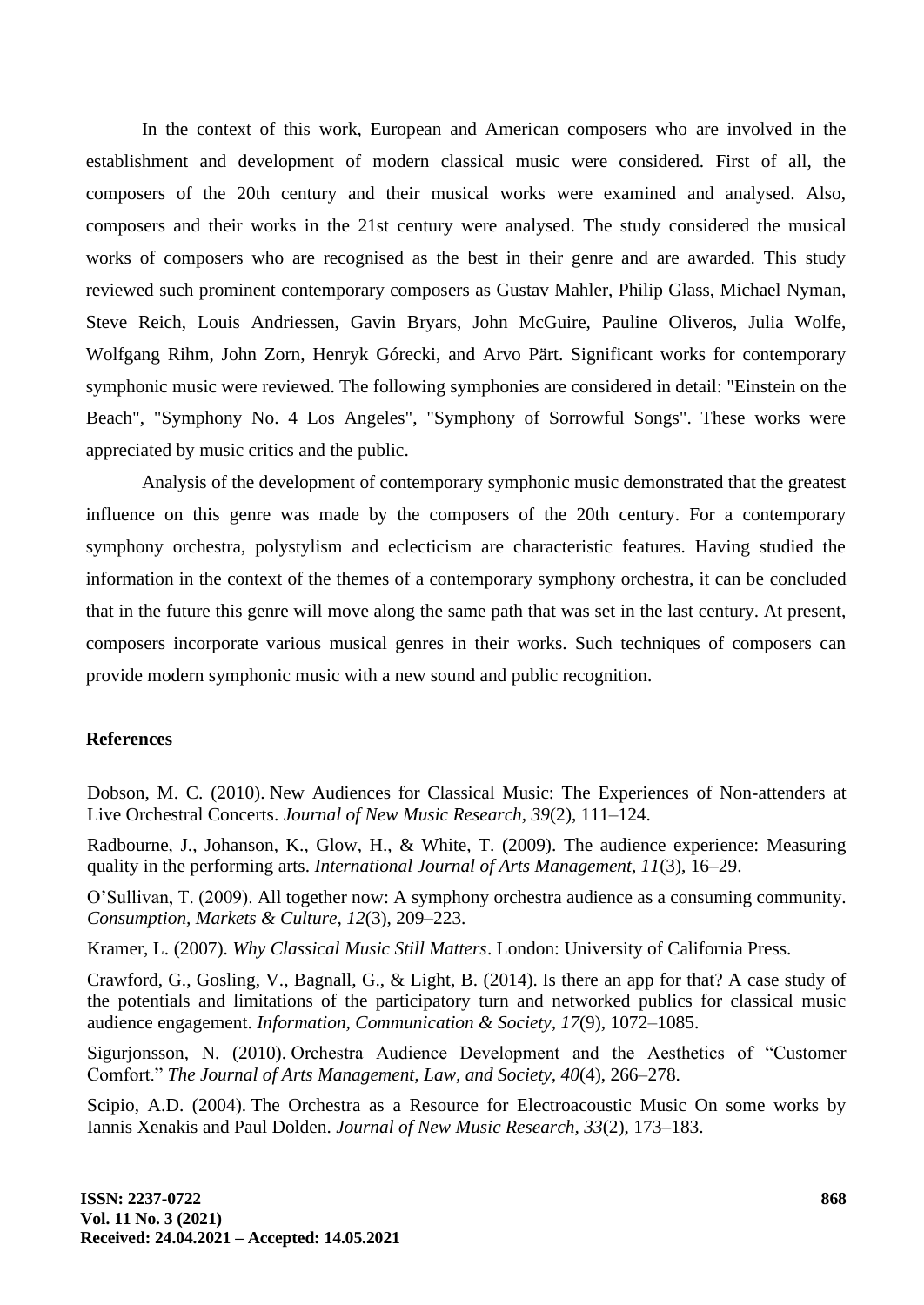In the context of this work, European and American composers who are involved in the establishment and development of modern classical music were considered. First of all, the composers of the 20th century and their musical works were examined and analysed. Also, composers and their works in the 21st century were analysed. The study considered the musical works of composers who are recognised as the best in their genre and are awarded. This study reviewed such prominent contemporary composers as Gustav Mahler, Philip Glass, Michael Nyman, Steve Reich, Louis Andriessen, Gavin Bryars, John McGuire, Pauline Oliveros, Julia Wolfe, Wolfgang Rihm, John Zorn, Henryk Górecki, and Arvo Pärt. Significant works for contemporary symphonic music were reviewed. The following symphonies are considered in detail: "Einstein on the Beach", "Symphony No. 4 Los Angeles", "Symphony of Sorrowful Songs". These works were appreciated by music critics and the public.

Analysis of the development of contemporary symphonic music demonstrated that the greatest influence on this genre was made by the composers of the 20th century. For a contemporary symphony orchestra, polystylism and eclecticism are characteristic features. Having studied the information in the context of the themes of a contemporary symphony orchestra, it can be concluded that in the future this genre will move along the same path that was set in the last century. At present, composers incorporate various musical genres in their works. Such techniques of composers can provide modern symphonic music with a new sound and public recognition.

## **References**

Dobson, M. C. (2010). New Audiences for Classical Music: The Experiences of Non-attenders at Live Orchestral Concerts. *Journal of New Music Research, 39*(2), 111–124.

Radbourne, J., Johanson, K., Glow, H., & White, T. (2009). The audience experience: Measuring quality in the performing arts. *International Journal of Arts Management, 11*(3), 16–29.

O'Sullivan, T. (2009). All together now: A symphony orchestra audience as a consuming community. *Consumption, Markets & Culture, 12*(3), 209–223.

Kramer, L. (2007). *Why Classical Music Still Matters*. London: University of California Press.

Crawford, G., Gosling, V., Bagnall, G., & Light, B. (2014). Is there an app for that? A case study of the potentials and limitations of the participatory turn and networked publics for classical music audience engagement. *Information, Communication & Society, 17*(9), 1072–1085.

Sigurjonsson, N. (2010). Orchestra Audience Development and the Aesthetics of "Customer Comfort." *The Journal of Arts Management, Law, and Society, 40*(4), 266–278.

Scipio, A.D. (2004). The Orchestra as a Resource for Electroacoustic Music On some works by Iannis Xenakis and Paul Dolden. *Journal of New Music Research, 33*(2), 173–183.